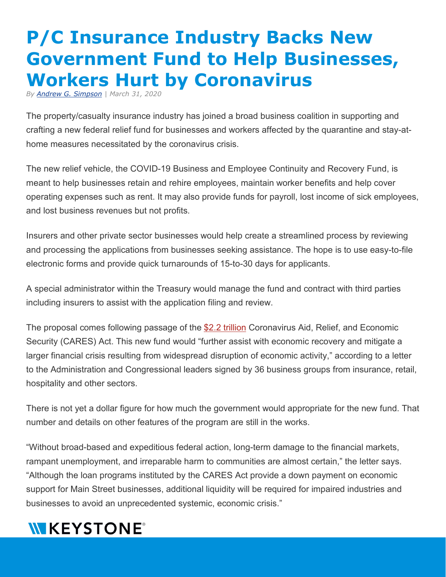## **P/C Insurance Industry Backs New Government Fund to Help Businesses, Workers Hurt by Coronavirus**

*By [Andrew G. Simpson](https://linkprotect.cudasvc.com/url?a=https%3a%2f%2fwww.insurancejournal.com%2fauthor%2fandrew-simpson%2f&c=E,1,Ge2QlTdxddqmqYRee_p5L8VA_cXjViYdH7gG2SY06P29yzDvZz0EzVapkO88rapamgMXQwZwG9cX71tG7unzn_CEMK1Pcml1Gbrf79SMIxknnqK4oEqXE2-H&typo=1) | March 31, 2020*

The property/casualty insurance industry has joined a broad business coalition in supporting and crafting a new federal relief fund for businesses and workers affected by the quarantine and stay-athome measures necessitated by the coronavirus crisis.

The new relief vehicle, the COVID-19 Business and Employee Continuity and Recovery Fund, is meant to help businesses retain and rehire employees, maintain worker benefits and help cover operating expenses such as rent. It may also provide funds for payroll, lost income of sick employees, and lost business revenues but not profits.

Insurers and other private sector businesses would help create a streamlined process by reviewing and processing the applications from businesses seeking assistance. The hope is to use easy-to-file electronic forms and provide quick turnarounds of 15-to-30 days for applicants.

A special administrator within the Treasury would manage the fund and contract with third parties including insurers to assist with the application filing and review.

The proposal comes following passage of the [\\$2.2 trillion](https://linkprotect.cudasvc.com/url?a=https%3a%2f%2fwww.insurancejournal.com%2fnews%2fnational%2f2020%2f03%2f25%2f562355.htm&c=E,1,FVTfpfIYWt9pJeeFZz_HQQBd-rcVaJma0w422wXgDYW5_-KvMchJD_CkOeC9qxiIQTYp9Y37h5XnNXQiw0VU5gx7lh05sX5v-wRvNarx-IawMiQub4o4S9hs&typo=1) Coronavirus Aid, Relief, and Economic Security (CARES) Act. This new fund would "further assist with economic recovery and mitigate a larger financial crisis resulting from widespread disruption of economic activity," according to a letter to the Administration and Congressional leaders signed by 36 business groups from insurance, retail, hospitality and other sectors.

There is not yet a dollar figure for how much the government would appropriate for the new fund. That number and details on other features of the program are still in the works.

"Without broad-based and expeditious federal action, long-term damage to the financial markets, rampant unemployment, and irreparable harm to communities are almost certain," the letter says. "Although the loan programs instituted by the CARES Act provide a down payment on economic support for Main Street businesses, additional liquidity will be required for impaired industries and businesses to avoid an unprecedented systemic, economic crisis."

## **WKEYSTONE®**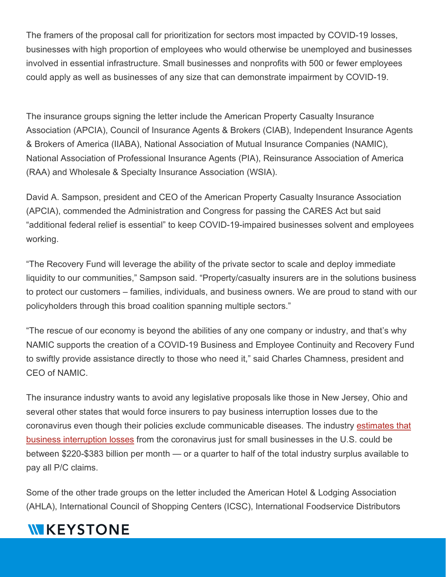The framers of the proposal call for prioritization for sectors most impacted by COVID-19 losses, businesses with high proportion of employees who would otherwise be unemployed and businesses involved in essential infrastructure. Small businesses and nonprofits with 500 or fewer employees could apply as well as businesses of any size that can demonstrate impairment by COVID-19.

The insurance groups signing the letter include the American Property Casualty Insurance Association (APCIA), Council of Insurance Agents & Brokers (CIAB), Independent Insurance Agents & Brokers of America (IIABA), National Association of Mutual Insurance Companies (NAMIC), National Association of Professional Insurance Agents (PIA), Reinsurance Association of America (RAA) and Wholesale & Specialty Insurance Association (WSIA).

David A. Sampson, president and CEO of the American Property Casualty Insurance Association (APCIA), commended the Administration and Congress for passing the CARES Act but said "additional federal relief is essential" to keep COVID-19-impaired businesses solvent and employees working.

"The Recovery Fund will leverage the ability of the private sector to scale and deploy immediate liquidity to our communities," Sampson said. "Property/casualty insurers are in the solutions business to protect our customers – families, individuals, and business owners. We are proud to stand with our policyholders through this broad coalition spanning multiple sectors."

"The rescue of our economy is beyond the abilities of any one company or industry, and that's why NAMIC supports the creation of a COVID-19 Business and Employee Continuity and Recovery Fund to swiftly provide assistance directly to those who need it," said Charles Chamness, president and CEO of NAMIC.

The insurance industry wants to avoid any legislative proposals like those in New Jersey, Ohio and several other states that would force insurers to pay business interruption losses due to the coronavirus even though their policies exclude communicable diseases. The industry [estimates that](https://linkprotect.cudasvc.com/url?a=https%3a%2f%2fwww.insurancejournal.com%2fnews%2fnational%2f2020%2f03%2f30%2f562738.htm&c=E,1,0o3tpc3ufp3-9ZCj89YdYJzeZLT-ZyIc8vWG4PVPFUoVbAovlw_1E9xXKjLE65xC_ew3edmvs18UnszYGfzq6hPBSPnhK4c7HUiOVKLndjnfuuAFUwk,&typo=1)  [business interruption losses](https://linkprotect.cudasvc.com/url?a=https%3a%2f%2fwww.insurancejournal.com%2fnews%2fnational%2f2020%2f03%2f30%2f562738.htm&c=E,1,0o3tpc3ufp3-9ZCj89YdYJzeZLT-ZyIc8vWG4PVPFUoVbAovlw_1E9xXKjLE65xC_ew3edmvs18UnszYGfzq6hPBSPnhK4c7HUiOVKLndjnfuuAFUwk,&typo=1) from the coronavirus just for small businesses in the U.S. could be between \$220-\$383 billion per month — or a quarter to half of the total industry surplus available to pay all P/C claims.

Some of the other trade groups on the letter included the American Hotel & Lodging Association (AHLA), International Council of Shopping Centers (ICSC), International Foodservice Distributors

## **WKEYSTONE**